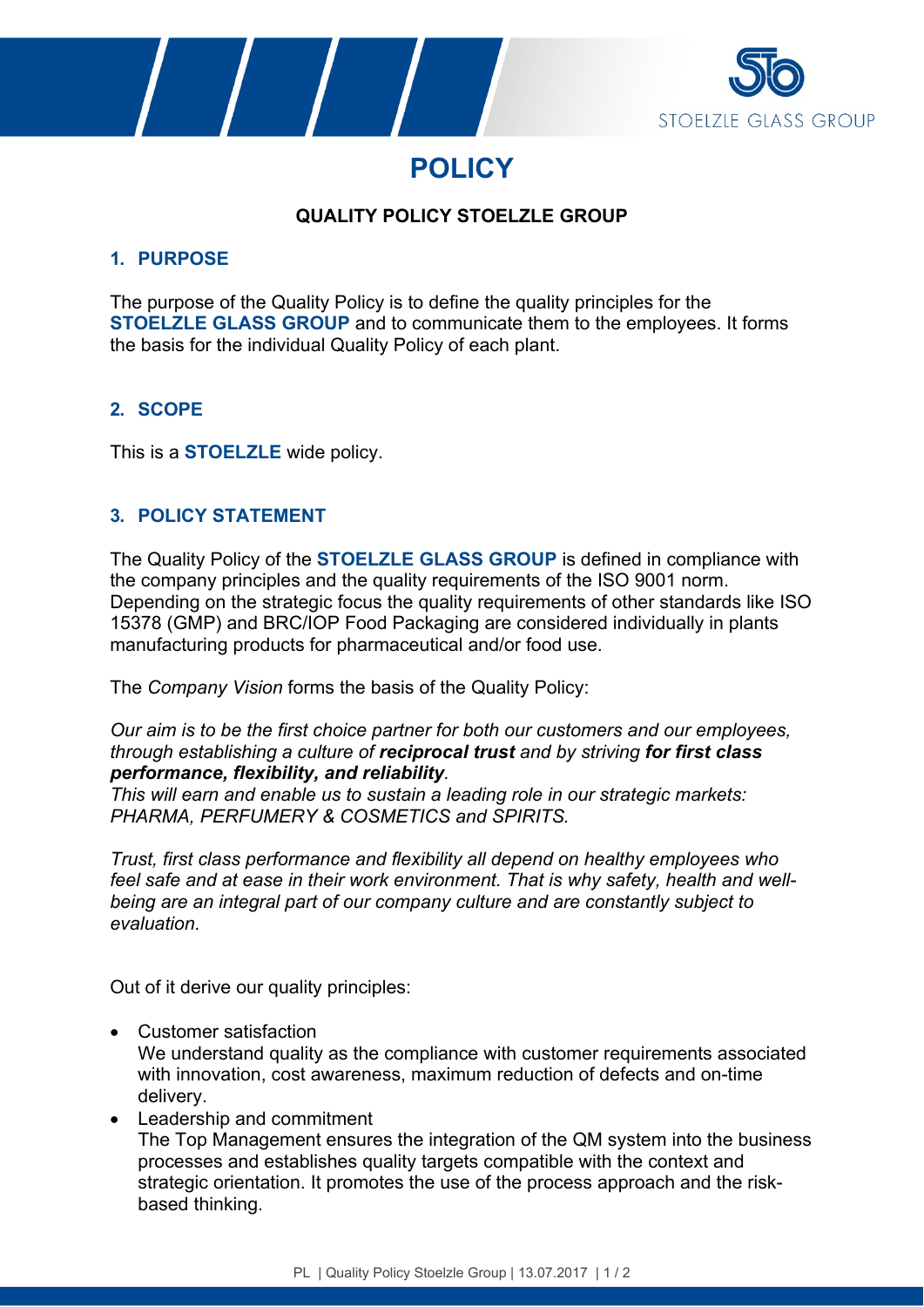





# **QUALITY POLICY STOELZLE GROUP**

### **1. PURPOSE**

The purpose of the Quality Policy is to define the quality principles for the **STOELZLE GLASS GROUP** and to communicate them to the employees. It forms the basis for the individual Quality Policy of each plant.

## **2. SCOPE**

This is a **STOELZLE** wide policy.

## **3. POLICY STATEMENT**

The Quality Policy of the **STOELZLE GLASS GROUP** is defined in compliance with the company principles and the quality requirements of the ISO 9001 norm. Depending on the strategic focus the quality requirements of other standards like ISO 15378 (GMP) and BRC/IOP Food Packaging are considered individually in plants manufacturing products for pharmaceutical and/or food use.

The *Company Vision* forms the basis of the Quality Policy:

*Our aim is to be the first choice partner for both our customers and our employees, through establishing a culture of reciprocal trust and by striving for first class performance, flexibility, and reliability.*

*This will earn and enable us to sustain a leading role in our strategic markets: PHARMA, PERFUMERY & COSMETICS and SPIRITS.*

*Trust, first class performance and flexibility all depend on healthy employees who feel safe and at ease in their work environment. That is why safety, health and wellbeing are an integral part of our company culture and are constantly subject to evaluation.*

Out of it derive our quality principles:

- Customer satisfaction We understand quality as the compliance with customer requirements associated with innovation, cost awareness, maximum reduction of defects and on-time delivery.
- Leadership and commitment The Top Management ensures the integration of the QM system into the business processes and establishes quality targets compatible with the context and strategic orientation. It promotes the use of the process approach and the riskbased thinking.